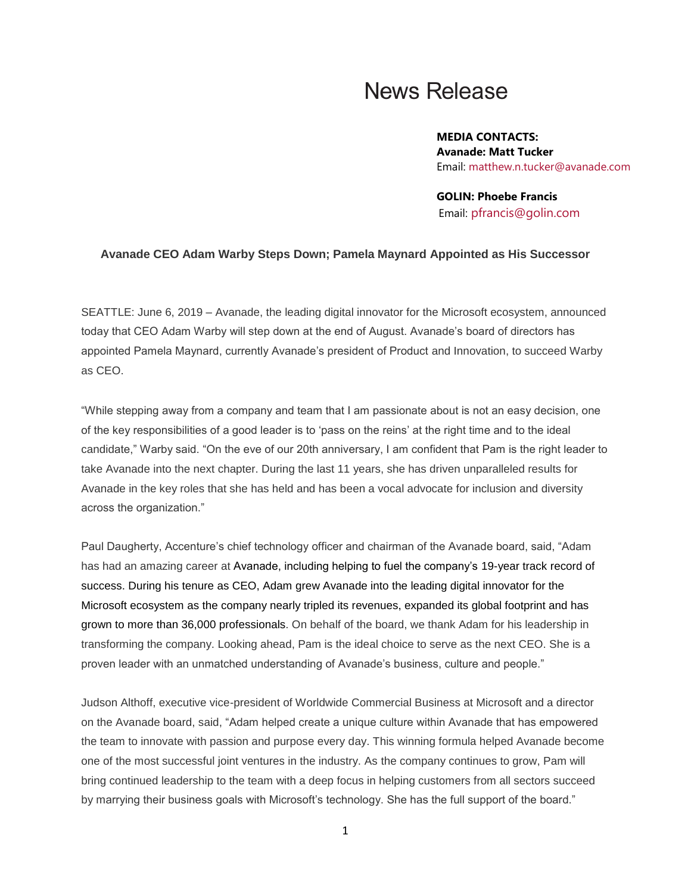## **News Release**

**MEDIA CONTACTS: Avanade: Matt Tucker** Email: [matthew.n.tucker@avanade.com](mailto:matthew.n.tucker@avanade.com)

**GOLIN: Phoebe Francis** Email: [pfrancis@golin.com](mailto:pfrancis@golin.com) 

## **Avanade CEO Adam Warby Steps Down; Pamela Maynard Appointed as His Successor**

SEATTLE: June 6, 2019 – Avanade, the leading digital innovator for the Microsoft ecosystem, announced today that CEO Adam Warby will step down at the end of August. Avanade's board of directors has appointed Pamela Maynard, currently Avanade's president of Product and Innovation, to succeed Warby as CEO.

"While stepping away from a company and team that I am passionate about is not an easy decision, one of the key responsibilities of a good leader is to 'pass on the reins' at the right time and to the ideal candidate," Warby said. "On the eve of our 20th anniversary, I am confident that Pam is the right leader to take Avanade into the next chapter. During the last 11 years, she has driven unparalleled results for Avanade in the key roles that she has held and has been a vocal advocate for inclusion and diversity across the organization."

Paul Daugherty, Accenture's chief technology officer and chairman of the Avanade board, said, "Adam has had an amazing career at Avanade, including helping to fuel the company's 19-year track record of success. During his tenure as CEO, Adam grew Avanade into the leading digital innovator for the Microsoft ecosystem as the company nearly tripled its revenues, expanded its global footprint and has grown to more than 36,000 professionals. On behalf of the board, we thank Adam for his leadership in transforming the company. Looking ahead, Pam is the ideal choice to serve as the next CEO. She is a proven leader with an unmatched understanding of Avanade's business, culture and people."

Judson Althoff, executive vice-president of Worldwide Commercial Business at Microsoft and a director on the Avanade board, said, "Adam helped create a unique culture within Avanade that has empowered the team to innovate with passion and purpose every day. This winning formula helped Avanade become one of the most successful joint ventures in the industry. As the company continues to grow, Pam will bring continued leadership to the team with a deep focus in helping customers from all sectors succeed by marrying their business goals with Microsoft's technology. She has the full support of the board."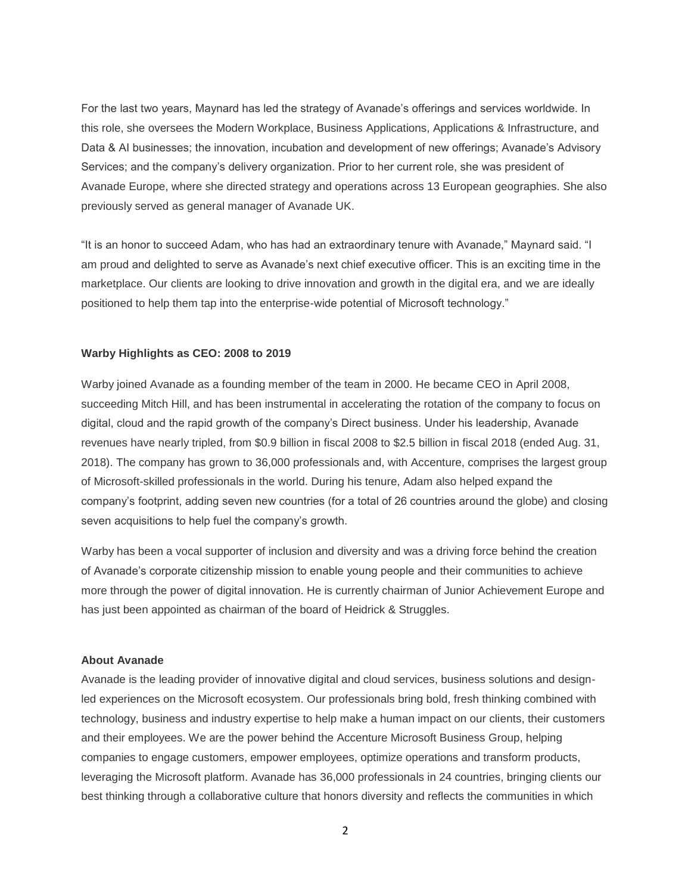For the last two years, Maynard has led the strategy of Avanade's offerings and services worldwide. In this role, she oversees the Modern Workplace, Business Applications, Applications & Infrastructure, and Data & AI businesses; the innovation, incubation and development of new offerings; Avanade's Advisory Services; and the company's delivery organization. Prior to her current role, she was president of Avanade Europe, where she directed strategy and operations across 13 European geographies. She also previously served as general manager of Avanade UK.

"It is an honor to succeed Adam, who has had an extraordinary tenure with Avanade," Maynard said. "I am proud and delighted to serve as Avanade's next chief executive officer. This is an exciting time in the marketplace. Our clients are looking to drive innovation and growth in the digital era, and we are ideally positioned to help them tap into the enterprise-wide potential of Microsoft technology."

## **Warby Highlights as CEO: 2008 to 2019**

Warby joined Avanade as a founding member of the team in 2000. He became CEO in April 2008, succeeding Mitch Hill, and has been instrumental in accelerating the rotation of the company to focus on digital, cloud and the rapid growth of the company's Direct business. Under his leadership, Avanade revenues have nearly tripled, from \$0.9 billion in fiscal 2008 to \$2.5 billion in fiscal 2018 (ended Aug. 31, 2018). The company has grown to 36,000 professionals and, with Accenture, comprises the largest group of Microsoft-skilled professionals in the world. During his tenure, Adam also helped expand the company's footprint, adding seven new countries (for a total of 26 countries around the globe) and closing seven acquisitions to help fuel the company's growth.

Warby has been a vocal supporter of inclusion and diversity and was a driving force behind the creation of Avanade's corporate citizenship mission to enable young people and their communities to achieve more through the power of digital innovation. He is currently chairman of Junior Achievement Europe and has just been appointed as chairman of the board of Heidrick & Struggles.

## **About Avanade**

Avanade is the leading provider of innovative digital and cloud services, business solutions and designled experiences on the Microsoft ecosystem. Our professionals bring bold, fresh thinking combined with technology, business and industry expertise to help make a human impact on our clients, their customers and their employees. We are the power behind the Accenture Microsoft Business Group, helping companies to engage customers, empower employees, optimize operations and transform products, leveraging the Microsoft platform. Avanade has 36,000 professionals in 24 countries, bringing clients our best thinking through a collaborative culture that honors diversity and reflects the communities in which

2